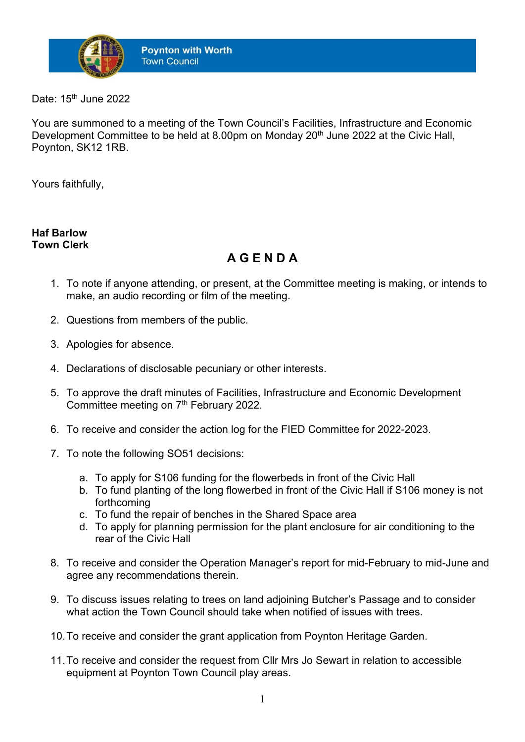

Date: 15<sup>th</sup> June 2022

You are summoned to a meeting of the Town Council's Facilities, Infrastructure and Economic Development Committee to be held at 8.00pm on Monday 20<sup>th</sup> June 2022 at the Civic Hall, Poynton, SK12 1RB.

Yours faithfully,

## **Haf Barlow Town Clerk**

## **A G E N D A**

- 1. To note if anyone attending, or present, at the Committee meeting is making, or intends to make, an audio recording or film of the meeting.
- 2. Questions from members of the public.
- 3. Apologies for absence.
- 4. Declarations of disclosable pecuniary or other interests.
- 5. To approve the draft minutes of Facilities, Infrastructure and Economic Development Committee meeting on 7<sup>th</sup> February 2022.
- 6. To receive and consider the action log for the FIED Committee for 2022-2023.
- 7. To note the following SO51 decisions:
	- a. To apply for S106 funding for the flowerbeds in front of the Civic Hall
	- b. To fund planting of the long flowerbed in front of the Civic Hall if S106 money is not forthcoming
	- c. To fund the repair of benches in the Shared Space area
	- d. To apply for planning permission for the plant enclosure for air conditioning to the rear of the Civic Hall
- 8. To receive and consider the Operation Manager's report for mid-February to mid-June and agree any recommendations therein.
- 9. To discuss issues relating to trees on land adjoining Butcher's Passage and to consider what action the Town Council should take when notified of issues with trees.
- 10.To receive and consider the grant application from Poynton Heritage Garden.
- 11.To receive and consider the request from Cllr Mrs Jo Sewart in relation to accessible equipment at Poynton Town Council play areas.